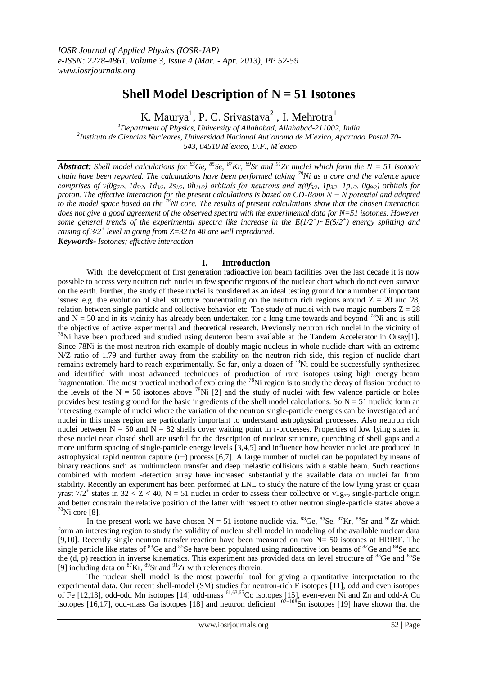# **Shell Model Description of N = 51 Isotones**

K. Maurya<sup>1</sup>, P. C. Srivastava<sup>2</sup>, I. Mehrotra<sup>1</sup>

*<sup>1</sup>Department of Physics, University of Allahabad, Allahabad-211002, India 2 Instituto de Ciencias Nucleares, Universidad Nacional Aut´onoma de M´exico, Apartado Postal 70- 543, 04510 M´exico, D.F., M´exico*

*Abstract: Shell model calculations for* <sup>83</sup>*Ge*, <sup>85</sup>*Se*, <sup>87</sup>*Kr*, <sup>89</sup>*Sr and* <sup>91</sup>*Zr nuclei which form the*  $N = 51$  *isotonic chain have been reported. The calculations have been performed taking <sup>78</sup>Ni as a core and the valence space*  comprises of  $v(0g_{7/2}, 1d_{5/2}, 1d_{3/2}, 2s_{1/2}, 0h_{11/2})$  orbitals for neutrons and  $\pi(0f_{5/2}, 1p_{3/2}, 1p_{1/2}, 0g_{9/2})$  orbitals for *proton. The effective interaction for the present calculations is based on CD-Bonn N − N potential and adopted to the model space based on the <sup>78</sup>Ni core. The results of present calculations show that the chosen interaction does not give a good agreement of the observed spectra with the experimental data for N=51 isotones. However*  some general trends of the experimental spectra like increase in the  $E(1/2^+)$   $\sim E(5/2^+)$  energy splitting and *raising of 3/2<sup>+</sup> level in going from Z=32 to 40 are well reproduced.*

*Keywords- Isotones; effective interaction*

# **I. Introduction**

With the development of first generation radioactive ion beam facilities over the last decade it is now possible to access very neutron rich nuclei in few specific regions of the nuclear chart which do not even survive on the earth. Further, the study of these nuclei is considered as an ideal testing ground for a number of important issues: e.g. the evolution of shell structure concentrating on the neutron rich regions around  $Z = 20$  and 28, relation between single particle and collective behavior etc. The study of nuclei with two magic numbers  $Z = 28$ and  $N = 50$  and in its vicinity has already been undertaken for a long time towards and beyond <sup>78</sup>Ni and is still the objective of active experimental and theoretical research. Previously neutron rich nuclei in the vicinity of  $78$ Ni have been produced and studied using deuteron beam available at the Tandem Accelerator in Orsay[1]. Since 78Ni is the most neutron rich example of doubly magic nucleus in whole nuclide chart with an extreme N/Z ratio of 1.79 and further away from the stability on the neutron rich side, this region of nuclide chart remains extremely hard to reach experimentally. So far, only a dozen of <sup>78</sup>Ni could be successfully synthesized and identified with most advanced techniques of production of rare isotopes using high energy beam fragmentation. The most practical method of exploring the <sup>78</sup>Ni region is to study the decay of fission product to the levels of the N = 50 isotones above <sup>78</sup>Ni [2] and the study of nuclei with few valence particle or holes provides best testing ground for the basic ingredients of the shell model calculations. So  $N = 51$  nuclide form an interesting example of nuclei where the variation of the neutron single-particle energies can be investigated and nuclei in this mass region are particularly important to understand astrophysical processes. Also neutron rich nuclei between  $N = 50$  and  $N = 82$  shells cover waiting point in r-processes. Properties of low lying states in these nuclei near closed shell are useful for the description of nuclear structure, quenching of shell gaps and a more uniform spacing of single-particle energy levels [3,4,5] and influence how heavier nuclei are produced in astrophysical rapid neutron capture (r−) process [6,7]. A large number of nuclei can be populated by means of binary reactions such as multinucleon transfer and deep inelastic collisions with a stable beam. Such reactions combined with modern -detection array have increased substantially the available data on nuclei far from stability. Recently an experiment has been performed at LNL to study the nature of the low lying yrast or quasi yrast  $7/2^+$  states in 32 < Z < 40, N = 51 nuclei in order to assess their collective or  $v1g_{7/2}$  single-particle origin and better constrain the relative position of the latter with respect to other neutron single-particle states above a  $78$ Ni core [8].

In the present work we have chosen  $N = 51$  isotone nuclide viz. <sup>83</sup>Ge, <sup>85</sup>Se, <sup>87</sup>Kr, <sup>89</sup>Sr and <sup>91</sup>Zr which form an interesting region to study the validity of nuclear shell model in modeling of the available nuclear data [9,10]. Recently single neutron transfer reaction have been measured on two  $N = 50$  isotones at HRIBF. The single particle like states of  $83$ Ge and  $85$ Se have been populated using radioactive ion beams of  $82$ Ge and  $84$ Se and the  $(d, p)$  reaction in inverse kinematics. This experiment has provided data on level structure of  ${}^{83}$ Ge and  ${}^{85}$ Se [9] including data on  ${}^{87}$ Kr,  ${}^{89}$ Sr and  ${}^{91}Zr$  with references therein.

The nuclear shell model is the most powerful tool for giving a quantitative interpretation to the experimental data. Our recent shell-model (SM) studies for neutron-rich F isotopes [11], odd and even isotopes of Fe [12,13], odd-odd Mn isotopes [14] odd-mass <sup>61,63,65</sup>Co isotopes [15], even-even Ni and Zn and odd-A Cu isotopes [16,17], odd-mass Ga isotopes [18] and neutron deficient  $102-108$ Sn isotopes [19] have shown that the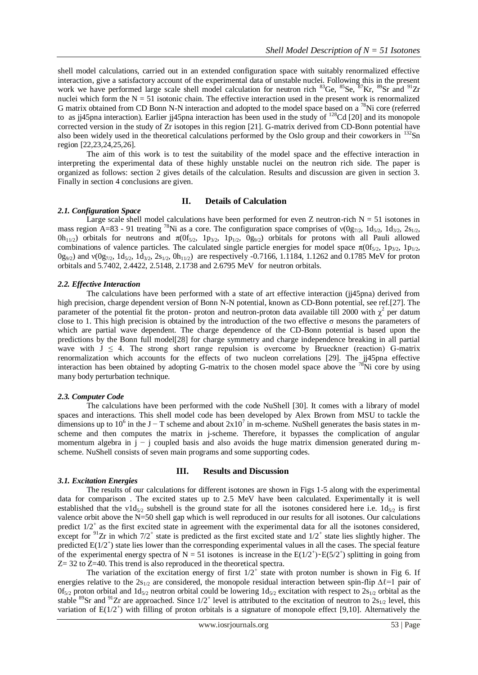shell model calculations, carried out in an extended configuration space with suitably renormalized effective interaction, give a satisfactory account of the experimental data of unstable nuclei. Following this in the present work we have performed large scale shell model calculation for neutron rich <sup>83</sup>Ge, <sup>85</sup>Se, <sup>87</sup>Kr, <sup>89</sup>Sr and <sup>91</sup>Zr nuclei which form the  $N = 51$  isotonic chain. The effective interaction used in the present work is renormalized G matrix obtained from CD Bonn N-N interaction and adopted to the model space based on a <sup>78</sup>Ni core (referred to as jj45pna interaction). Earlier jj45pna interaction has been used in the study of <sup>128</sup>Cd [20] and its monopole corrected version in the study of Zr isotopes in this region [21]. G-matrix derived from CD-Bonn potential have also been widely used in the theoretical calculations performed by the Oslo group and their coworkers in <sup>132</sup>Sn region [22,23,24,25,26].

The aim of this work is to test the suitability of the model space and the effective interaction in interpreting the experimental data of these highly unstable nuclei on the neutron rich side. The paper is organized as follows: section 2 gives details of the calculation. Results and discussion are given in section 3. Finally in section 4 conclusions are given.

## **II. Details of Calculation**

## *2.1. Configuration Space*

Large scale shell model calculations have been performed for even Z neutron-rich  $N = 51$  isotones in mass region A=83 - 91 treating <sup>78</sup>Ni as a core. The configuration space comprises of  $v(0g_{7/2}, 1d_{5/2}, 1d_{3/2}, 2s_{1/2},$  $0h_{11/2}$ ) orbitals for neutrons and  $π(0f_{5/2}, 1p_{3/2}, 1p_{1/2}, 0g_{9/2})$  orbitals for protons with all Pauli allowed combinations of valence particles. The calculated single particle energies for model space  $\pi(0f_{5/2}, 1p_{3/2}, 1p_{1/2},$  $0g_{9/2}$ ) and  $v(0g_{7/2}, 1d_{5/2}, 1d_{5/2}, 2s_{1/2}, 0h_{11/2})$  are respectively -0.7166, 1.1184, 1.1262 and 0.1785 MeV for proton orbitals and 5.7402, 2.4422, 2.5148, 2.1738 and 2.6795 MeV for neutron orbitals.

## *2.2. Effective Interaction*

The calculations have been performed with a state of art effective interaction (jj45pna) derived from high precision, charge dependent version of Bonn N-N potential, known as CD-Bonn potential, see ref.[27]. The parameter of the potential fit the proton- proton and neutron-proton data available till 2000 with  $\chi^2$  per datum close to 1. This high precision is obtained by the introduction of the two effective  $\sigma$  mesons the parameters of which are partial wave dependent. The charge dependence of the CD-Bonn potential is based upon the predictions by the Bonn full model[28] for charge symmetry and charge independence breaking in all partial wave with  $J \leq 4$ . The strong short range repulsion is overcome by Brueckner (reaction) G-matrix renormalization which accounts for the effects of two nucleon correlations [29]. The jj45pna effective interaction has been obtained by adopting G-matrix to the chosen model space above the  $^{78}$ Ni core by using many body perturbation technique.

## *2.3. Computer Code*

The calculations have been performed with the code NuShell [30]. It comes with a library of model spaces and interactions. This shell model code has been developed by Alex Brown from MSU to tackle the dimensions up to 10<sup>6</sup> in the J – T scheme and about  $2x10^7$  in m-scheme. NuShell generates the basis states in mscheme and then computes the matrix in j-scheme. Therefore, it bypasses the complication of angular momentum algebra in j – j coupled basis and also avoids the huge matrix dimension generated during mscheme. NuShell consists of seven main programs and some supporting codes.

## *3.1. Excitation Energies*

## **III. Results and Discussion**

The results of our calculations for different isotones are shown in Figs 1-5 along with the experimental data for comparison . The excited states up to 2.5 MeV have been calculated. Experimentally it is well established that the v1d<sub>5/2</sub> subshell is the ground state for all the isotones considered here i.e.  $1d_{5/2}$  is first valence orbit above the N=50 shell gap which is well reproduced in our results for all isotones. Our calculations predict  $1/2^+$  as the first excited state in agreement with the experimental data for all the isotones considered, except for  $91$ Zr in which  $7/2^+$  state is predicted as the first excited state and  $1/2^+$  state lies slightly higher. The predicted  $E(1/2^+)$  state lies lower than the corresponding experimental values in all the cases. The special feature of the experimental energy spectra of  $N = 51$  isotones is increase in the  $E(1/2^+)$   $E(5/2^+)$  splitting in going from Z= 32 to Z=40. This trend is also reproduced in the theoretical spectra.

The variation of the excitation energy of first  $1/2^+$  state with proton number is shown in Fig 6. If energies relative to the 2s<sub>1/2</sub> are considered, the monopole residual interaction between spin-flip  $\Delta \ell$ =1 pair of  $0f_{5/2}$  proton orbital and  $1d_{5/2}$  neutron orbital could be lowering  $1d_{5/2}$  excitation with respect to  $2s_{1/2}$  orbital as the stable <sup>89</sup>Sr and <sup>91</sup>Zr are approached. Since  $1/2^+$  level is attributed to the excitation of neutron to  $2s_{1/2}$  level, this variation of  $E(1/2^+)$  with filling of proton orbitals is a signature of monopole effect [9,10]. Alternatively the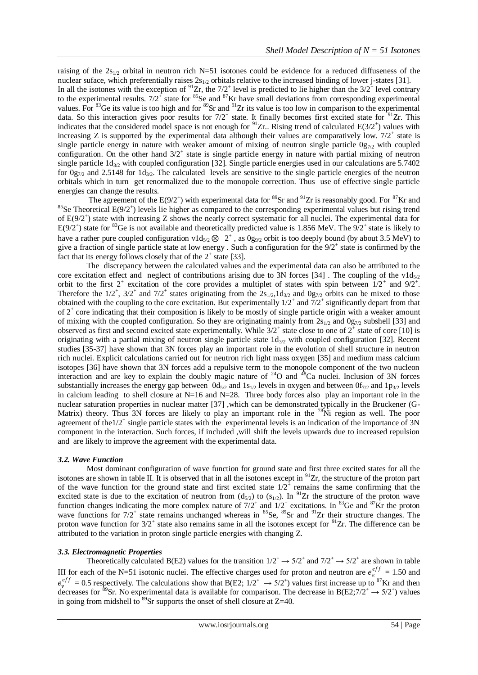raising of the  $2s_{1/2}$  orbital in neutron rich N=51 isotones could be evidence for a reduced diffuseness of the nuclear suface, which preferentially raises  $2s_{1/2}$  orbitals relative to the increased binding of lower j-states [31]. In all the isotones with the exception of  $^{91}Zr$ , the 7/2<sup>+</sup> level is predicted to lie higher than the 3/2<sup>+</sup> level contrary to the experimental results.  $7/2^+$  state for <sup>85</sup>Se and <sup>87</sup>Kr have small deviations from corresponding experimental values. For  ${}^{83}$ Ge its value is too high and for  ${}^{89}$ Sr and  ${}^{91}Zr$  its value is too low in comparison to the experimental data. So this interaction gives poor results for  $7/2^+$  state. It finally becomes first excited state for  $91$ Zr. This indicates that the considered model space is not enough for  $^{91}Zr$ . Rising trend of calculated  $E(3/2^+)$  values with increasing Z is supported by the experimental data although their values are comparatively low.  $7/2^+$  state is single particle energy in nature with weaker amount of mixing of neutron single particle  $0g_{7/2}$  with coupled configuration. On the other hand  $3/2^+$  state is single particle energy in nature with partial mixing of neutron single particle  $1d_{3/2}$  with coupled configuration [32]. Single particle energies used in our calculations are 5.7402 for  $0g_{7/2}$  and 2.5148 for  $1d_{3/2}$ . The calculated levels are sensitive to the single particle energies of the neutron orbitals which in turn get renormalized due to the monopole correction. Thus use of effective single particle energies can change the results.

The agreement of the  $E(9/2^+)$  with experimental data for <sup>89</sup>Sr and <sup>91</sup>Zr is reasonably good. For <sup>87</sup>Kr and <sup>85</sup>Se Theoretical  $E(9/2^+)$  levels lie higher as compared to the corresponding experimental values but rising trend of E(9/2<sup>+</sup>) state with increasing Z shows the nearly correct systematic for all nuclei. The experimental data for  $E(9/2^+)$  state for <sup>83</sup>Ge is not available and theoretically predicted value is 1.856 MeV. The  $9/2^+$  state is likely to have a rather pure coupled configuration  $v1d_{5/2} \otimes 2^+$ , as  $0g_{9/2}$  orbit is too deeply bound (by about 3.5 MeV) to give a fraction of single particle state at low energy. Such a configuration for the  $9/2^+$  state is confirmed by the fact that its energy follows closely that of the  $2^+$  state [33].

The discrepancy between the calculated values and the experimental data can also be attributed to the core excitation effect and neglect of contributions arising due to 3N forces [34]. The coupling of the  $v1d_{5/2}$ orbit to the first  $2^+$  excitation of the core provides a multiplet of states with spin between  $1/2^+$  and  $9/2^+$ . Therefore the  $1/2^+$ ,  $3/2^+$  and  $7/2^+$  states originating from the  $2s_{1/2}$ ,  $1d_{3/2}$  and  $0g_{7/2}$  orbits can be mixed to those obtained with the coupling to the core excitation. But experimentally  $1/2^+$  and  $7/2^+$  significantly depart from that of 2<sup>+</sup> core indicating that their composition is likely to be mostly of single particle origin with a weaker amount of mixing with the coupled configuration. So they are originating mainly from  $2s_{1/2}$  and  $0g_{7/2}$  subshell [33] and observed as first and second excited state experimentally. While  $3/2^+$  state close to one of  $2^+$  state of core [10] is originating with a partial mixing of neutron single particle state  $1d_{3/2}$  with coupled configuration [32]. Recent studies [35-37] have shown that 3N forces play an important role in the evolution of shell structure in neutron rich nuclei. Explicit calculations carried out for neutron rich light mass oxygen [35] and medium mass calcium isotopes [36] have shown that 3N forces add a repulsive term to the monopole component of the two nucleon interaction and are key to explain the doubly magic nature of  $24$ O and  $48$ Ca nuclei. Inclusion of 3N forces substantially increases the energy gap between  $0d_{5/2}$  and  $1s_{1/2}$  levels in oxygen and between  $0f_{7/2}$  and  $1p_{3/2}$  levels in calcium leading to shell closure at  $N=16$  and  $N=28$ . Three body forces also play an important role in the nuclear saturation properties in nuclear matter [37] ,which can be demonstrated typically in the Bruckener (G-Matrix) theory. Thus 3N forces are likely to play an important role in the <sup>78</sup>Ni region as well. The poor agreement of the1/2<sup>+</sup> single particle states with the experimental levels is an indication of the importance of 3N component in the interaction. Such forces, if included ,will shift the levels upwards due to increased repulsion and are likely to improve the agreement with the experimental data.

## *3.2. Wave Function*

Most dominant configuration of wave function for ground state and first three excited states for all the isotones are shown in table II. It is observed that in all the isotones except in  $91Zr$ , the structure of the proton part of the wave function for the ground state and first excited state  $1/2^+$  remains the same confirming that the excited state is due to the excitation of neutron from  $(d_{5/2})$  to  $(s_{1/2})$ . In <sup>91</sup>Zr the structure of the proton wave function changes indicating the more complex nature of  $7/2^+$  and  $1/2^+$  excitations. In <sup>83</sup>Ge and <sup>87</sup>Kr the proton wave functions for  $7/2^+$  state remains unchanged whereas in <sup>85</sup>Se, <sup>89</sup>Sr and <sup>91</sup>Zr their structure changes. The proton wave function for  $3/2^+$  state also remains same in all the isotones except for  $9^1Zr$ . The difference can be attributed to the variation in proton single particle energies with changing Z.

## *3.3. Electromagnetic Properties*

Theoretically calculated B(E2) values for the transition  $1/2^+ \rightarrow 5/2^+$  and  $7/2^+ \rightarrow 5/2^+$  are shown in table III for each of the N=51 isotonic nuclei. The effective charges used for proton and neutron are  $e_{\pi}^{eff} = 1.50$  and  $e_v^{eff} = 0.5$  respectively. The calculations show that B(E2;  $1/2^+ \rightarrow 5/2^+$ ) values first increase up to <sup>87</sup>Kr and then decreases for <sup>89</sup>Sr. No experimental data is available for comparison. The decrease in B(E2;7/2<sup>+</sup>  $\rightarrow$  5/2<sup>+</sup>) values in going from midshell to  $^{89}$ Sr supports the onset of shell closure at Z=40.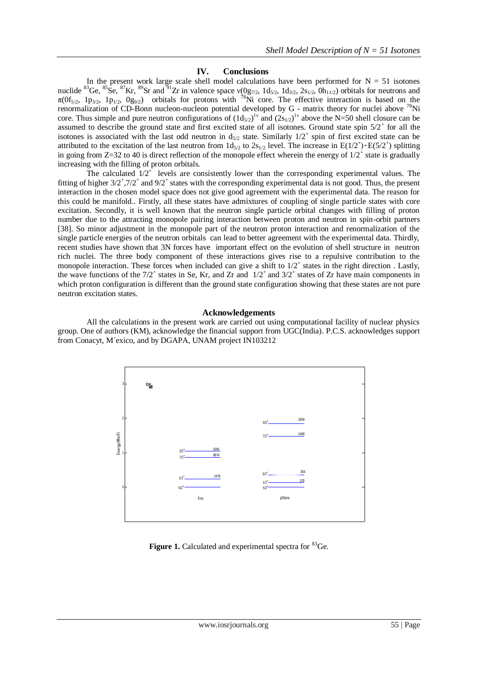# **IV. Conclusions**

In the present work large scale shell model calculations have been performed for  $N = 51$  isotones nuclide <sup>83</sup>Ge, <sup>85</sup>Se, <sup>87</sup>Kr, <sup>89</sup>Sr and <sup>91</sup>Zr in valence space  $v(0g_{7/2}, 1d_{5/2}, 1d_{3/2}, 2s_{1/2}, 0h_{11/2})$  orbitals for neutrons and  $\pi(0f_{5/2}, 1p_{3/2}, 1p_{1/2}, 0g_{9/2})$  orbitals for protons with <sup>78</sup>Ni core. The effective interaction is based on the renormalization of CD-Bonn nucleon-nucleon potential developed by G - matrix theory for nuclei above <sup>78</sup>Ni core. Thus simple and pure neutron configurations of  $(1d_{5/2})^{1\nu}$  and  $(2s_{1/2})^{1\nu}$  above the N=50 shell closure can be assumed to describe the ground state and first excited state of all isotones. Ground state spin  $5/2^+$  for all the isotones is associated with the last odd neutron in  $d_{5/2}$  state. Similarly  $1/2^+$  spin of first excited state can be attributed to the excitation of the last neutron from  $1d_{5/2}$  to  $2s_{1/2}$  level. The increase in E(1/2<sup>+</sup>)~E(5/2<sup>+</sup>) splitting in going from Z=32 to 40 is direct reflection of the monopole effect wherein the energy of  $1/2^+$  state is gradually increasing with the filling of proton orbitals.

The calculated  $1/2^+$  levels are consistently lower than the corresponding experimental values. The fitting of higher  $3/2^+$ ,  $7/2^+$  and  $9/2^+$  states with the corresponding experimental data is not good. Thus, the present interaction in the chosen model space does not give good agreement with the experimental data. The reason for this could be manifold.. Firstly, all these states have admixtures of coupling of single particle states with core excitation. Secondly, it is well known that the neutron single particle orbital changes with filling of proton number due to the attracting monopole pairing interaction between proton and neutron in spin-orbit partners [38]. So minor adjustment in the monopole part of the neutron proton interaction and renormalization of the single particle energies of the neutron orbitals can lead to better agreement with the experimental data. Thirdly, recent studies have shown that 3N forces have important effect on the evolution of shell structure in neutron rich nuclei. The three body component of these interactions gives rise to a repulsive contribution to the monopole interaction. These forces when included can give a shift to  $1/2^+$  states in the right direction. Lastly, the wave functions of the  $7/2^+$  states in Se, Kr, and Zr and  $1/2^+$  and  $3/2^+$  states of Zr have main components in which proton configuration is different than the ground state configuration showing that these states are not pure neutron excitation states.

## **Acknowledgements**

All the calculations in the present work are carried out using computational facility of nuclear physics group. One of authors (KM), acknowledge the financial support from UGC(India). P.C.S. acknowledges support from Conacyt, M´exico, and by DGAPA, UNAM project IN103212



**Figure 1.** Calculated and experimental spectra for <sup>83</sup>Ge.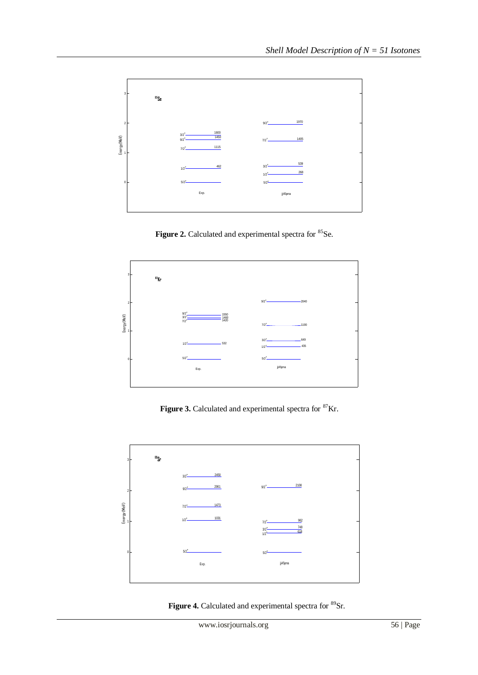

**Figure 2.** Calculated and experimental spectra for <sup>85</sup>Se.



Figure 3. Calculated and experimental spectra for <sup>87</sup>Kr.



Figure 4. Calculated and experimental spectra for <sup>89</sup>Sr.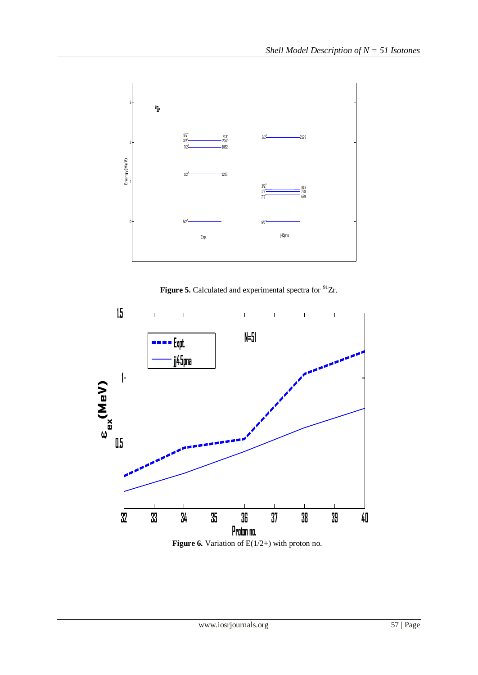

Figure 5. Calculated and experimental spectra for <sup>91</sup>Zr.



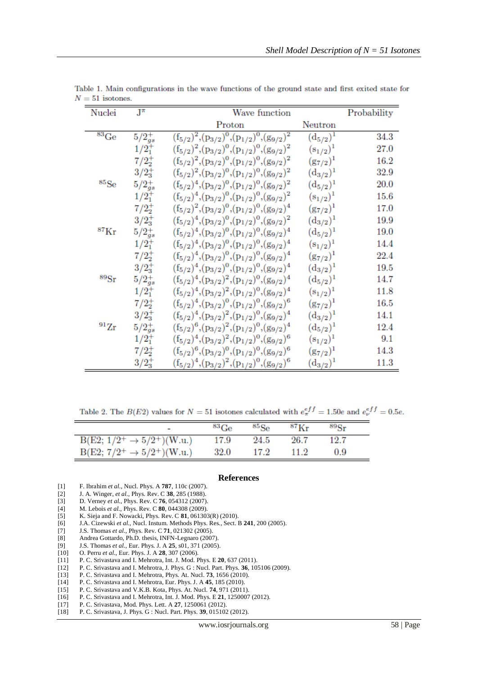| Nuclei               | $J^{\pi}$      | Wave function                                                 |                         | Probability |
|----------------------|----------------|---------------------------------------------------------------|-------------------------|-------------|
|                      |                | Proton                                                        | Neutron                 |             |
| ${}^{83}$ Ge         | $5/2_{gs}^{+}$ | $(f_{5/2})^2,(p_{3/2})^0,(p_{1/2})^0,(g_{9/2})^2$             | $(\rm{d}_{\rm{5/2}})^1$ | 34.3        |
|                      | $1/2^+_1$      | $(f_{5/2})^2,(p_{3/2})^0,(p_{1/2})^0,(g_{9/2})^2$             | $(s_{1/2})^1$           | 27.0        |
|                      | $7/2^{+}_{2}$  | $(f_{5/2})^2,(p_{3/2})^0,(p_{1/2})^0,(g_{9/2})^2$             | $(g_{7/2})^1$           | 16.2        |
|                      | $3/2_{3}^{+}$  | $(f_{5/2})^2$ , $(p_{3/2})^0$ , $(p_{1/2})^0$ , $(g_{9/2})^2$ | $(d_{3/2})^1$           | 32.9        |
| ${}^{85}Se$          | $5/2_{gs}^{+}$ | $(f_{5/2})^4$ , $(p_{3/2})^0$ , $(p_{1/2})^0$ , $(g_{9/2})^2$ | $(d_{5/2})^1$           | 20.0        |
|                      | $1/2^{+}_{1}$  | $(f_{5/2})^4$ , $(p_{3/2})^0$ , $(p_{1/2})^0$ , $(g_{9/2})^2$ | $(s_{1/2})^1$           | 15.6        |
|                      | $7/2^{+}_{2}$  | $(f_{5/2})^2$ , $(p_{3/2})^0$ , $(p_{1/2})^0$ , $(g_{9/2})^4$ | $(g_{7/2})^1$           | 17.0        |
|                      | $3/2_3^+$      | $(f_{5/2})^4$ , $(p_{3/2})^0$ , $(p_{1/2})^0$ , $(g_{9/2})^2$ | $(\rm{d}_{3/2})^1$      | 19.9        |
| $\rm ^{87}Kr$        | $5/2_{gs}^{+}$ | $(f_{5/2})^4$ , $(p_{3/2})^0$ , $(p_{1/2})^0$ , $(g_{9/2})^4$ | $(d_{5/2})^1$           | 19.0        |
|                      | $1/2_1^+$      | $(f_{5/2})^4$ , $(p_{3/2})^0$ , $(p_{1/2})^0$ , $(g_{9/2})^4$ | $(s_{1/2})^1$           | 14.4        |
|                      | $7/2^{+}_{2}$  | $(f_{5/2})^4$ , $(p_{3/2})^0$ , $(p_{1/2})^0$ , $(g_{9/2})^4$ | $(g_{7/2})^1$           | 22.4        |
|                      | $3/2^+_{3}$    | $(f_{5/2})^4$ , $(p_{3/2})^0$ , $(p_{1/2})^0$ , $(g_{9/2})^4$ | $(d_{3/2})^1$           | 19.5        |
| ${}^{89}\mathrm{Sr}$ | $5/2^{+}_{gs}$ | $(f_{5/2})^4$ , $(p_{3/2})^2$ , $(p_{1/2})^0$ , $(g_{9/2})^4$ | $(d_{5/2})^1$           | 14.7        |
|                      | $1/2^+_1$      | $(f_{5/2})^4$ , $(p_{3/2})^2$ , $(p_{1/2})^0$ , $(g_{9/2})^4$ | $(s_{1/2})^1$           | 11.8        |
|                      | $7/2^{+}_{2}$  | $(f_{5/2})^4$ , $(p_{3/2})^0$ , $(p_{1/2})^0$ , $(g_{9/2})^6$ | $(g_{7/2})^1$           | 16.5        |
|                      | $3/2^+_3$      | $(f_{5/2})^4$ , $(p_{3/2})^2$ , $(p_{1/2})^0$ , $(g_{9/2})^4$ | $(d_{3/2})^1$           | 14.1        |
| $^{91}Zr$            | $5/2_{gs}^{+}$ | $(f_{5/2})^6$ , $(p_{3/2})^2$ , $(p_{1/2})^0$ , $(g_{9/2})^4$ | $(d_{5/2})^1$           | 12.4        |
|                      | $1/2^{+}_{1}$  | $(f_{5/2})^4$ , $(p_{3/2})^2$ , $(p_{1/2})^0$ , $(g_{9/2})^6$ | $(s_{1/2})^1$           | 9.1         |
|                      | $7/2^{+}_{2}$  | $(f_{5/2})^6$ , $(p_{3/2})^0$ , $(p_{1/2})^0$ , $(g_{9/2})^6$ | $(g_{7/2})^1$           | 14.3        |
|                      | $3/2^+_3$      | $(f_{5/2})^4$ , $(p_{3/2})^2$ , $(p_{1/2})^0$ , $(g_{9/2})^6$ | $(\rm{d}_{3/2})^1$      | 11.3        |

Table 1. Main configurations in the wave functions of the ground state and first exited state for  $N = 51$  isotones.

Table 2. The  $B(E2)$  values for  $N = 51$  isotones calculated with  $e_{\pi}^{eff} = 1.50e$  and  $e_{\nu}^{eff} = 0.5e$ .

|                                        | ${}^{83}\mathrm{Ge}$ | $^{85}$ Se | $87K_r$ | $89R_T$ |  |
|----------------------------------------|----------------------|------------|---------|---------|--|
| $B(E2; 1/2^+ \rightarrow 5/2^+)(W.u.)$ | 17.9                 | 24.5       | 26.7    | 12.7    |  |
| $B(E2; 7/2^+ \rightarrow 5/2^+)(W.u.)$ | 32.0                 | 17.2       | 11.2    | 0.9     |  |

## **References**

- [1] F. Ibrahim *et al.*, Nucl. Phys. A **787**, 110c (2007).
- [2] J. A. Winger, *et al.*, Phys. Rev. C **38**, 285 (1988).
- [3] D. Verney *et al.*, Phys. Rev. C **76**, 054312 (2007). [4] M. Lebois *et al.*, Phys. Rev. C **80**, 044308 (2009).
- [5] K. Sieja and F. Nowacki, Phys. Rev. C **81**, 061303(R) (2010).
- [6] J.A. Cizewski *et al.*, Nucl. Instum. Methods Phys. Res., Sect. B **241**, 200 (2005).
- [7] J.S. Thomas *et al.*, Phys. Rev. C **71**, 021302 (2005).
- [8] Andrea Gottardo, Ph.D. thesis, INFN-Legnaro (2007).
- [9] J.S. Thomas *et al.*, Eur. Phys. J. A **25**, s01, 371 (2005).
- [10] O. Perru *et al.*, Eur. Phys. J. A **28**, 307 (2006).
- 
- [11] P. C. Srivastava and I. Mehrotra, Int. J. Mod. Phys. E **20**, 637 (2011). [12] P. C. Srivastava and I. Mehrotra, J. Phys. G : Nucl. Part. Phys. **36**, 105106 (2009).
- [13] P. C. Srivastava and I. Mehrotra, Phys. At. Nucl. **73**, 1656 (2010).
- [14] P. C. Srivastava and I. Mehrotra, Eur. Phys. J. A **45**, 185 (2010).
- [15] P. C. Srivastava and V.K.B. Kota, Phys. At. Nucl. **74**, 971 (2011).
- [16] P. C. Srivastava and I. Mehrotra, Int. J. Mod. Phys. E **21**, 1250007 (2012).
- [17] P. C. Srivastava, Mod. Phys. Lett. A **27**, 1250061 (2012). [18] P. C. Srivastava, J. Phys. G : Nucl. Part. Phys. **39**, 015102 (2012).
-